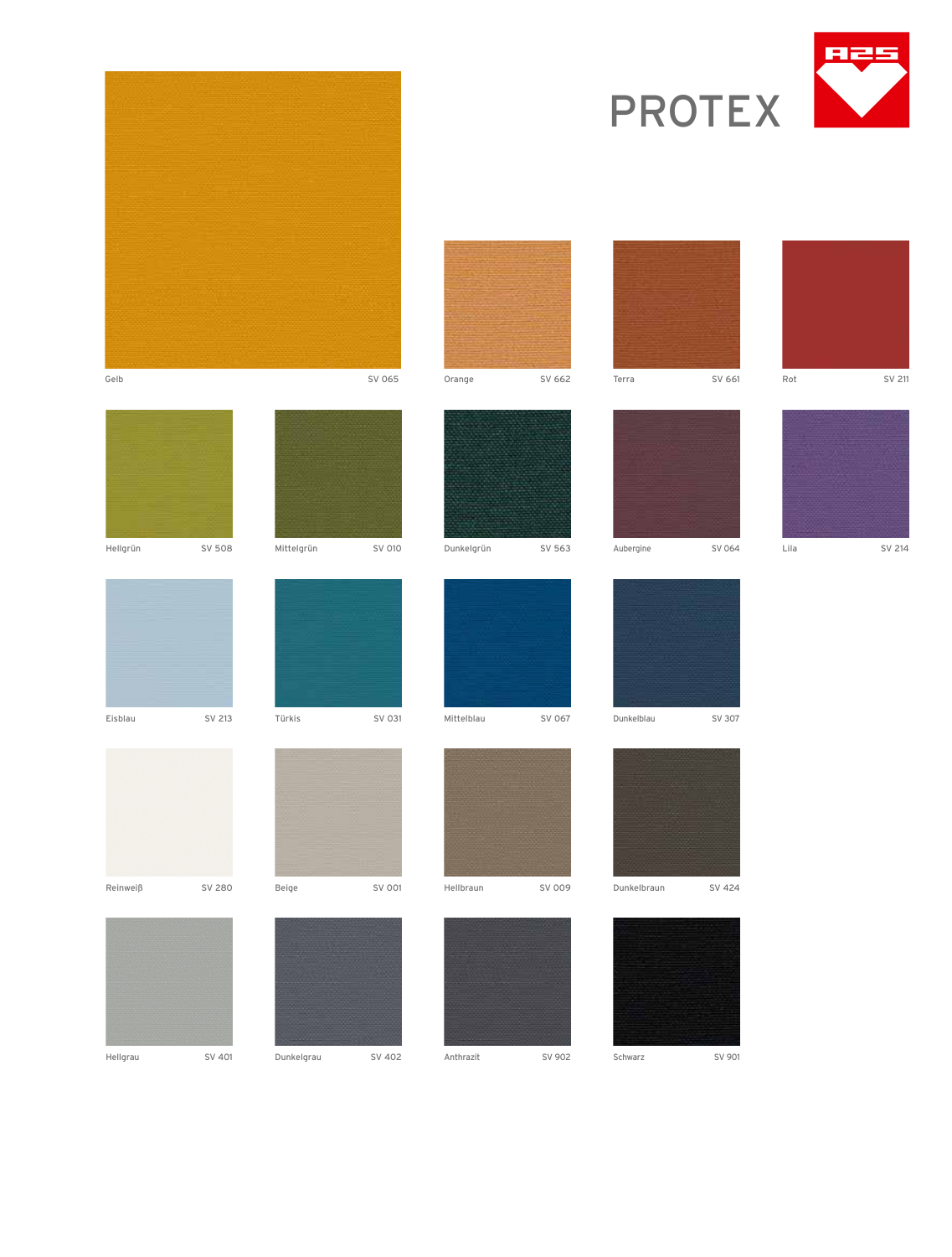